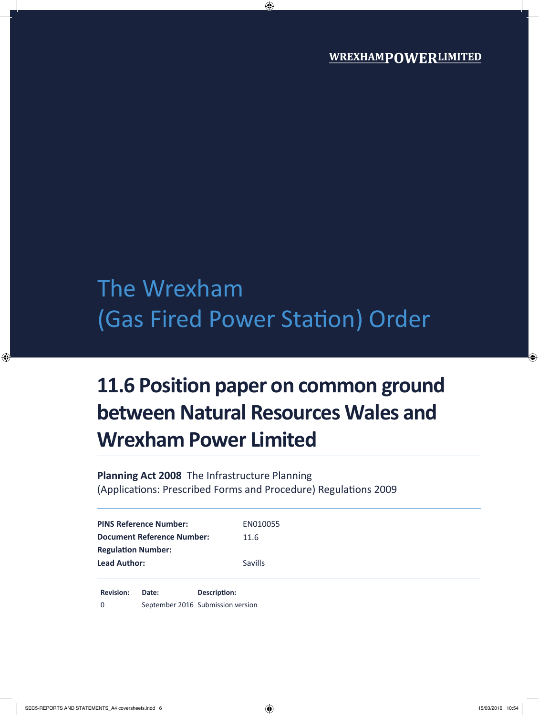# The Wrexham (Gas Fired Power Station) Order

## **11.6 Position paper on common ground between Natural Resources Wales and Wrexham Power Limited**

**Planning Act 2008** The Infrastructure Planning (Applications: Prescribed Forms and Procedure) Regulations 2009

| <b>PINS Reference Number:</b>     | EN010055       |
|-----------------------------------|----------------|
| <b>Document Reference Number:</b> | 11.6           |
| <b>Regulation Number:</b>         |                |
| <b>Lead Author:</b>               | <b>Savills</b> |
|                                   |                |

**Revision: Date: Description:** 0 September 2016 Submission version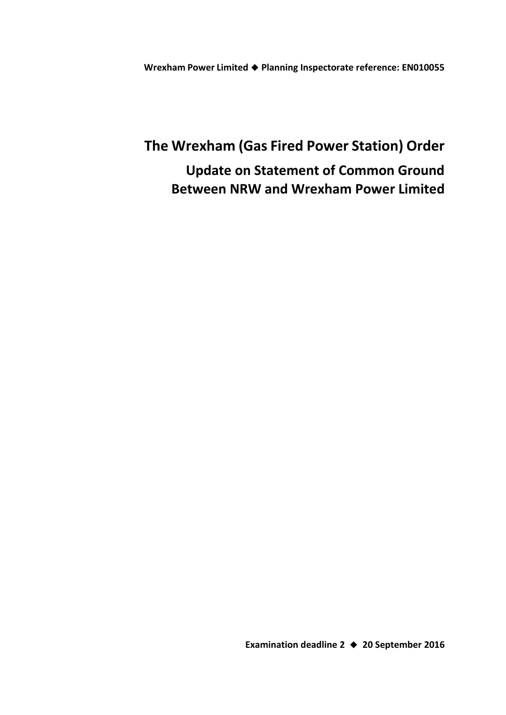**Wrexham Power Limited Planning Inspectorate reference: EN010055**

### **The Wrexham (Gas Fired Power Station) Order Update on Statement of Common Ground Between NRW and Wrexham Power Limited**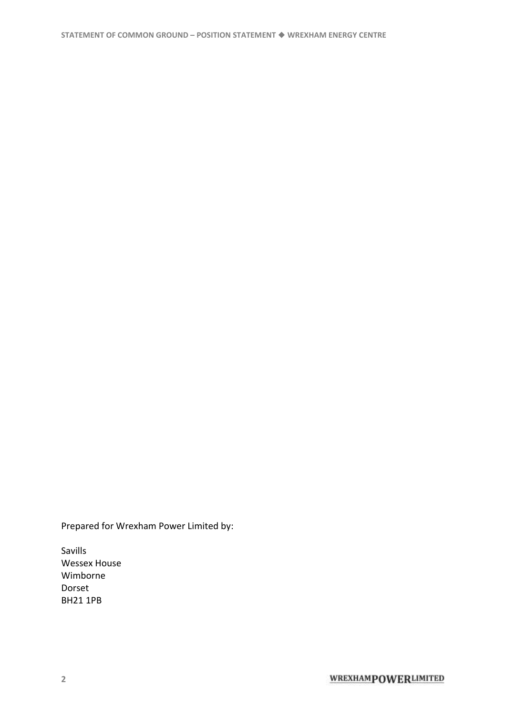Prepared for Wrexham Power Limited by:

Savills Wessex House Wimborne Dorset BH21 1PB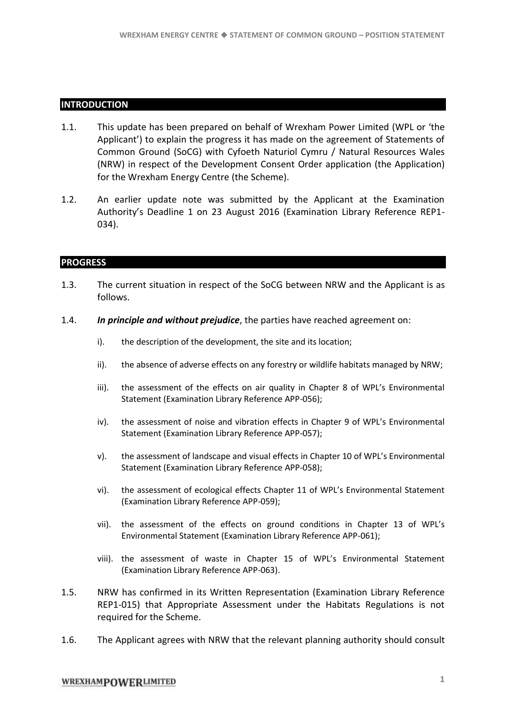#### **INTRODUCTION**

- 1.1. This update has been prepared on behalf of Wrexham Power Limited (WPL or 'the Applicant') to explain the progress it has made on the agreement of Statements of Common Ground (SoCG) with Cyfoeth Naturiol Cymru / Natural Resources Wales (NRW) in respect of the Development Consent Order application (the Application) for the Wrexham Energy Centre (the Scheme).
- 1.2. An earlier update note was submitted by the Applicant at the Examination Authority's Deadline 1 on 23 August 2016 (Examination Library Reference REP1- 034).

### **PROGRESS**

- 1.3. The current situation in respect of the SoCG between NRW and the Applicant is as follows.
- 1.4. *In principle and without prejudice*, the parties have reached agreement on:
	- i). the description of the development, the site and its location;
	- ii). the absence of adverse effects on any forestry or wildlife habitats managed by NRW;
	- iii). the assessment of the effects on air quality in Chapter 8 of WPL's Environmental Statement (Examination Library Reference APP-056);
	- iv). the assessment of noise and vibration effects in Chapter 9 of WPL's Environmental Statement (Examination Library Reference APP-057);
	- v). the assessment of landscape and visual effects in Chapter 10 of WPL's Environmental Statement (Examination Library Reference APP-058);
	- vi). the assessment of ecological effects Chapter 11 of WPL's Environmental Statement (Examination Library Reference APP-059);
	- vii). the assessment of the effects on ground conditions in Chapter 13 of WPL's Environmental Statement (Examination Library Reference APP-061);
	- viii). the assessment of waste in Chapter 15 of WPL's Environmental Statement (Examination Library Reference APP-063).
- 1.5. NRW has confirmed in its Written Representation (Examination Library Reference REP1-015) that Appropriate Assessment under the Habitats Regulations is not required for the Scheme.
- 1.6. The Applicant agrees with NRW that the relevant planning authority should consult